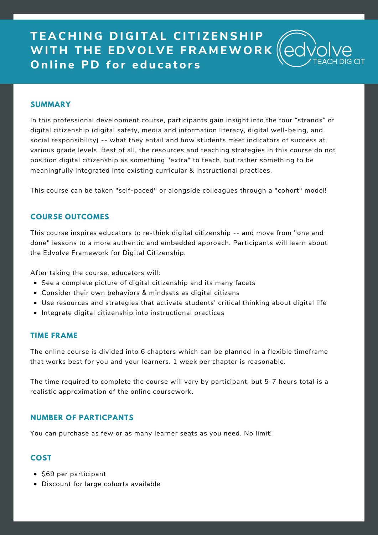# **T E A C H I N G D I G I T A L CI T I Z E N S H IP WI T H T H E E D V O L V E F R A M EWO R K D nline PD** for educators

#### **SUMMARY**

In this professional development course, participants gain insight into the four "strands" of digital citizenship (digital safety, media and information literacy, digital well-being, and social responsibility) -- what they entail and how students meet indicators of success at various grade levels. Best of all, the resources and teaching strategies in this course do not position digital citizenship as something "extra" to teach, but rather something to be meaningfully integrated into existing curricular & instructional practices.

This course can be taken "self-paced" or alongside colleagues through a "cohort" model!

#### **COURSE OUTCOMES**

This course inspires educators to re-think digital citizenship -- and move from "one and done" lessons to a more authentic and embedded approach. Participants will learn about the Edvolve Framework for Digital Citizenship.

After taking the course, educators will:

- See a complete picture of digital citizenship and its many facets
- Consider their own behaviors & mindsets as digital citizens
- Use resources and strategies that activate students' critical thinking about digital life
- Integrate digital citizenship into instructional practices

#### **TIME FRAME**

The online course is divided into 6 chapters which can be planned in a flexible timeframe that works best for you and your learners. 1 week per chapter is reasonable.

The time required to complete the course will vary by participant, but 5-7 hours total is a realistic approximation of the online coursework.

#### **NUMBER OF PARTICPANTS**

You can purchase as few or as many learner seats as you need. No limit!

#### **COST**

- \$69 per participant
- Discount for large cohorts available